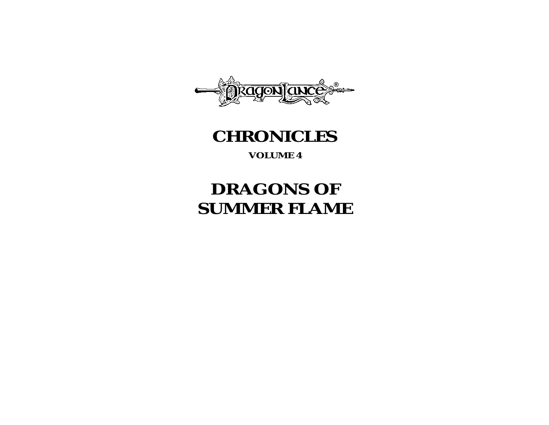

## **CHRONICLES VOLUME 4**

# **DRAGONS OF SUMMER FLAME**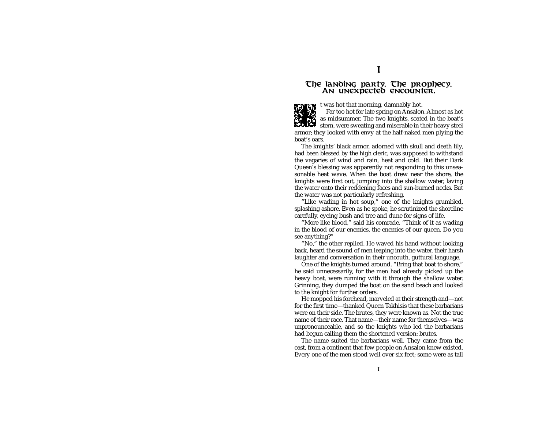### 1

#### The landing party. The prophecy. AN UNEXPECTED ENCOUNTER.

t was hot that morning, damnably hot. **TAN** Far too hot for late spring on Ansalon. Almost as hot 透透 as midsummer. The two knights, seated in the boat's stern, were sweating and miserable in their heavy steel armor; they looked with envy at the half-naked men plying the boat's oars.

The knights' black armor, adorned with skull and death lily, had been blessed by the high cleric, was supposed to withstand the vagaries of wind and rain, heat and cold. But their Dark Queen's blessing was apparently not responding to this unseasonable heat wave. When the boat drew near the shore, the knights were first out, jumping into the shallow water, laving the water onto their reddening faces and sun-burned necks. But the water was not particularly refreshing.

"Like wading in hot soup," one of the knights grumbled, splashing ashore. Even as he spoke, he scrutinized the shoreline carefully, eyeing bush and tree and dune for signs of life.

"More like blood," said his comrade. "Think of it as wading in the blood of our enemies, the enemies of our queen. Do you see anything?"

"No," the other replied. He waved his hand without looking back, heard the sound of men leaping into the water, their harsh laughter and conversation in their uncouth, guttural language.

One of the knights turned around. "Bring that boat to shore," he said unnecessarily, for the men had already picked up the heavy boat, were running with it through the shallow water. Grinning, they dumped the boat on the sand beach and looked to the knight for further orders.

He mopped his forehead, marveled at their strength and—not for the first time—thanked Queen Takhisis that these barbarians were on their side. The brutes, they were known as. Not the true name of their race. That name—their name for themselves—was unpronounceable, and so the knights who led the barbarians had begun calling them the shortened version: brutes.

The name suited the barbarians well. They came from the east, from a continent that few people on Ansalon knew existed. Every one of the men stood well over six feet; some were as tall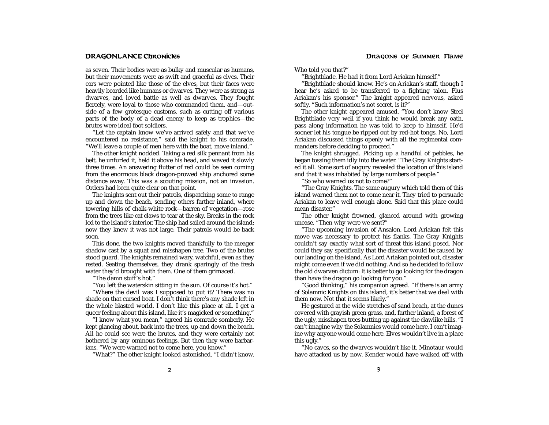#### DRAGONLANCE Chronicles

as seven. Their bodies were as bulky and muscular as humans, but their movements were as swift and graceful as elves. Their ears were pointed like those of the elves, but their faces were heavily bearded like humans or dwarves. They were as strong as dwarves, and loved battle as well as dwarves. They fought fiercely, were loyal to those who commanded them, and—outside of a few grotesque customs, such as cutting off various parts of the body of a dead enemy to keep as trophies—the brutes were ideal foot soldiers.

"Let the captain know we've arrived safely and that we've encountered no resistance," said the knight to his comrade. "We'll leave a couple of men here with the boat, move inland."

The other knight nodded. Taking a red silk pennant from his belt, he unfurled it, held it above his head, and waved it slowly three times. An answering flutter of red could be seen coming from the enormous black dragon-prowed ship anchored some distance away. This was a scouting mission, not an invasion. Orders had been quite clear on that point.

The knights sent out their patrols, dispatching some to range up and down the beach, sending others farther inland, where towering hills of chalk-white rock—barren of vegetation—rose from the trees like cat claws to tear at the sky. Breaks in the rock led to the island's interior. The ship had sailed around the island; now they knew it was not large. Their patrols would be back soon.

This done, the two knights moved thankfully to the meager shadow cast by a squat and misshapen tree. Two of the brutes stood guard. The knights remained wary, watchful, even as they rested. Seating themselves, they drank sparingly of the fresh water they'd brought with them. One of them grimaced.

"The damn stuff's hot."

"You left the waterskin sitting in the sun. Of course it's hot."

"Where the devil was I supposed to put it? There was no shade on that cursed boat. I don't think there's any shade left in the whole blasted world. I don't like this place at all. I get a queer feeling about this island, like it's magicked or something."

"I know what you mean," agreed his comrade somberly. He kept glancing about, back into the trees, up and down the beach. All he could see were the brutes, and they were certainly not bothered by any ominous feelings. But then they were barbarians. "We were warned not to come here, you know."

"What?" The other knight looked astonished. "I didn't know.

Who told you that?"

"Brightblade. He had it from Lord Ariakan himself."

"Brightblade should know. He's on Ariakan's staff, though I hear he's asked to be transferred to a fighting talon. Plus Ariakan's his sponsor." The knight appeared nervous, asked softly, "Such information's not secret, is it?"

The other knight appeared amused. "You don't know Steel Brightblade very well if you think he would break any oath, pass along information he was told to keep to himself. He'd sooner let his tongue be ripped out by red-hot tongs. No, Lord Ariakan discussed things openly with all the regimental commanders before deciding to proceed."

The knight shrugged. Picking up a handful of pebbles, he began tossing them idly into the water. "The Gray Knights started it all. Some sort of augury revealed the location of this island and that it was inhabited by large numbers of people."

"So who warned us not to come?"

"The Gray Knights. The same augury which told them of this island warned them not to come near it. They tried to persuade Ariakan to leave well enough alone. Said that this place could mean disaster."

The other knight frowned, glanced around with growing unease. "Then why were we sent?"

"The upcoming invasion of Ansalon. Lord Ariakan felt this move was necessary to protect his flanks. The Gray Knights couldn't say exactly what sort of threat this island posed. Nor could they say specifically that the disaster would be caused by our landing on the island. As Lord Ariakan pointed out, disaster might come even if we did nothing. And so he decided to follow the old dwarven dictum: It is better to go looking for the dragon than have the dragon go looking for you."

"Good thinking," his companion agreed. "If there is an army of Solamnic Knights on this island, it's better that we deal with them now. Not that it seems likely."

He gestured at the wide stretches of sand beach, at the dunes covered with grayish green grass, and, farther inland, a forest of the ugly, misshapen trees butting up against the clawlike hills. "I can't imagine why the Solamnics would come here. I can't imagine why anyone would come here. Elves wouldn't live in a place this ugly."

"No caves, so the dwarves wouldn't like it. Minotaur would have attacked us by now. Kender would have walked off with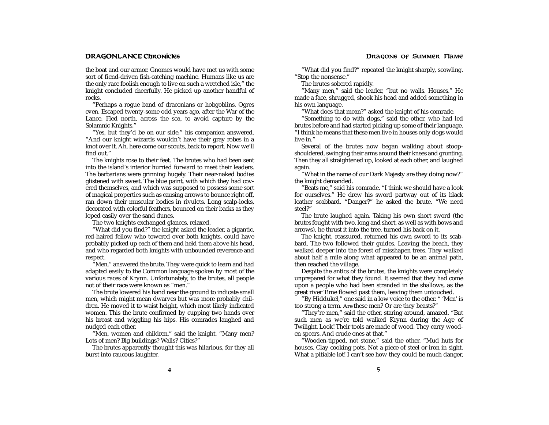#### DRAGONLANCE Chronicles

the boat and our armor. Gnomes would have met us with some sort of fiend-driven fish-catching machine. Humans like us are the only race foolish enough to live on such a wretched isle," the knight concluded cheerfully. He picked up another handful of rocks.

"Perhaps a rogue band of draconians or hobgoblins. Ogres even. Escaped twenty-some odd years ago, after the War of the Lance. Fled north, across the sea, to avoid capture by the Solamnic Knights."

"Yes, but they'd be on our side," his companion answered. "And our knight wizards wouldn't have their gray robes in a knot over it. Ah, here come our scouts, back to report. Now we'll find out."

The knights rose to their feet. The brutes who had been sent into the island's interior hurried forward to meet their leaders. The barbarians were grinning hugely. Their near-naked bodies glistened with sweat. The blue paint, with which they had covered themselves, and which was supposed to possess some sort of magical properties such as causing arrows to bounce right off, ran down their muscular bodies in rivulets. Long scalp-locks, decorated with colorful feathers, bounced on their backs as they loped easily over the sand dunes.

The two knights exchanged glances, relaxed.

"What did you find?" the knight asked the leader, a gigantic, red-haired fellow who towered over both knights, could have probably picked up each of them and held them above his head, and who regarded both knights with unbounded reverence and respect.

"Men," answered the brute. They were quick to learn and had adapted easily to the Common language spoken by most of the various races of Krynn. Unfortunately, to the brutes, all people not of their race were known as "men."

The brute lowered his hand near the ground to indicate small men, which might mean dwarves but was more probably children. He moved it to waist height, which most likely indicated women. This the brute confirmed by cupping two hands over his breast and wiggling his hips. His comrades laughed and nudged each other.

"Men, women and children," said the knight. "Many men? Lots of men? Big buildings? Walls? Cities?"

The brutes apparently thought this was hilarious, for they all burst into raucous laughter.

"What did you find?" repeated the knight sharply, scowling. "Stop the nonsense."

The brutes sobered rapidly.

"Many men," said the leader, "but no walls. Houses." He made a face, shrugged, shook his head and added something in his own language.

"What does that mean?" asked the knight of his comrade.

"Something to do with dogs," said the other, who had led brutes before and had started picking up some of their language. "I think he means that these men live in houses only dogs would live in."

Several of the brutes now began walking about stoopshouldered, swinging their arms around their knees and grunting. Then they all straightened up, looked at each other, and laughed again.

"What in the name of our Dark Majesty are they doing now?" the knight demanded.

"Beats me," said his comrade. "I think we should have a look for ourselves." He drew his sword partway out of its black leather scabbard. "Danger?" he asked the brute. "We need steel?"

The brute laughed again. Taking his own short sword (the brutes fought with two, long and short, as well as with bows and arrows), he thrust it into the tree, turned his back on it.

The knight, reassured, returned his own sword to its scabbard. The two followed their guides. Leaving the beach, they walked deeper into the forest of misshapen trees. They walked about half a mile along what appeared to be an animal path, then reached the village.

Despite the antics of the brutes, the knights were completely unprepared for what they found. It seemed that they had come upon a people who had been stranded in the shallows, as the great river Time flowed past them, leaving them untouched.

"By Hiddukel," one said in a low voice to the other. " 'Men' is too strong a term. *Are* these men? Or are they beasts?"

"They're men," said the other, staring around, amazed. "But such men as we're told walked Krynn during the Age of Twilight. Look! Their tools are made of wood. They carry wooden spears. And crude ones at that."

"Wooden-tipped, not stone," said the other. "Mud huts for houses. Clay cooking pots. Not a piece of steel or iron in sight. What a pitiable lot! I can't see how they could be much danger,